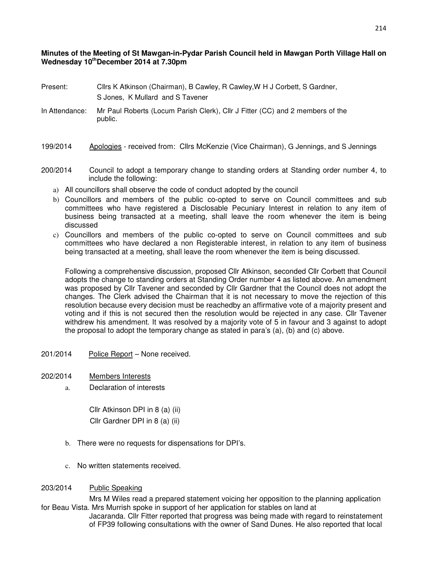## **Minutes of the Meeting of St Mawgan-in-Pydar Parish Council held in Mawgan Porth Village Hall on Wednesday 10thDecember 2014 at 7.30pm**

- Present: Cllrs K Atkinson (Chairman), B Cawley, R Cawley,W H J Corbett, S Gardner, S Jones, K Mullard and S Tavener
- In Attendance: Mr Paul Roberts (Locum Parish Clerk), Cllr J Fitter (CC) and 2 members of the public.
- 199/2014 Apologies received from: Cllrs McKenzie (Vice Chairman), G Jennings, and S Jennings
- 200/2014 Council to adopt a temporary change to standing orders at Standing order number 4, to include the following:
	- a) All councillors shall observe the code of conduct adopted by the council
	- b) Councillors and members of the public co-opted to serve on Council committees and sub committees who have registered a Disclosable Pecuniary Interest in relation to any item of business being transacted at a meeting, shall leave the room whenever the item is being discussed
	- c) Councillors and members of the public co-opted to serve on Council committees and sub committees who have declared a non Registerable interest, in relation to any item of business being transacted at a meeting, shall leave the room whenever the item is being discussed.

Following a comprehensive discussion, proposed Cllr Atkinson, seconded Cllr Corbett that Council adopts the change to standing orders at Standing Order number 4 as listed above. An amendment was proposed by Cllr Tavener and seconded by Cllr Gardner that the Council does not adopt the changes. The Clerk advised the Chairman that it is not necessary to move the rejection of this resolution because every decision must be reachedby an affirmative vote of a majority present and voting and if this is not secured then the resolution would be rejected in any case. Cllr Tavener withdrew his amendment. It was resolved by a majority vote of 5 in favour and 3 against to adopt the proposal to adopt the temporary change as stated in para's (a), (b) and (c) above.

- 201/2014 Police Report None received.
- 202/2014 Members Interests
	- a. Declaration of interests

Cllr Atkinson DPI in 8 (a) (ii) Cllr Gardner DPI in 8 (a) (ii)

- b. There were no requests for dispensations for DPI's.
- c. No written statements received.

## 203/2014 Public Speaking

 Mrs M Wiles read a prepared statement voicing her opposition to the planning application for Beau Vista. Mrs Murrish spoke in support of her application for stables on land at

 Jacaranda. Cllr Fitter reported that progress was being made with regard to reinstatement of FP39 following consultations with the owner of Sand Dunes. He also reported that local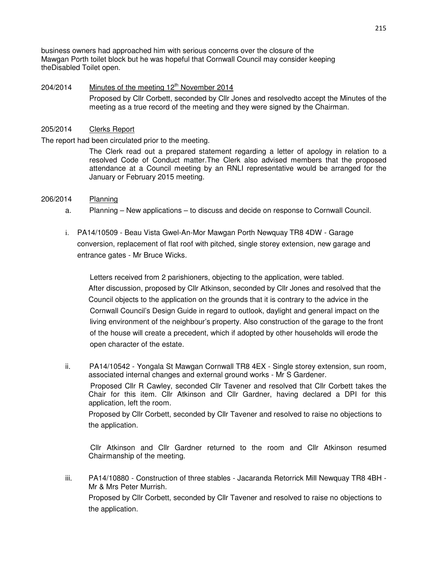business owners had approached him with serious concerns over the closure of the Mawgan Porth toilet block but he was hopeful that Cornwall Council may consider keeping theDisabled Toilet open.

## $204/2014$  Minutes of the meeting  $12<sup>th</sup>$  November 2014 Proposed by Cllr Corbett, seconded by Cllr Jones and resolvedto accept the Minutes of the meeting as a true record of the meeting and they were signed by the Chairman.

## 205/2014 Clerks Report

The report had been circulated prior to the meeting.

The Clerk read out a prepared statement regarding a letter of apology in relation to a resolved Code of Conduct matter.The Clerk also advised members that the proposed attendance at a Council meeting by an RNLI representative would be arranged for the January or February 2015 meeting.

- 206/2014 Planning
	- a. Planning New applications to discuss and decide on response to Cornwall Council.
	- i. PA14/10509 Beau Vista Gwel-An-Mor Mawgan Porth Newquay TR8 4DW Garage conversion, replacement of flat roof with pitched, single storey extension, new garage and entrance gates - Mr Bruce Wicks.

 Letters received from 2 parishioners, objecting to the application, were tabled. After discussion, proposed by Cllr Atkinson, seconded by Cllr Jones and resolved that the Council objects to the application on the grounds that it is contrary to the advice in the Cornwall Council's Design Guide in regard to outlook, daylight and general impact on the living environment of the neighbour's property. Also construction of the garage to the front of the house will create a precedent, which if adopted by other households will erode the open character of the estate.

ii. PA14/10542 - Yongala St Mawgan Cornwall TR8 4EX - Single storey extension, sun room, associated internal changes and external ground works - Mr S Gardener.

 Proposed Cllr R Cawley, seconded Cllr Tavener and resolved that Cllr Corbett takes the Chair for this item. Cllr Atkinson and Cllr Gardner, having declared a DPI for this application, left the room.

Proposed by Cllr Corbett, seconded by Cllr Tavener and resolved to raise no objections to the application.

 Cllr Atkinson and Cllr Gardner returned to the room and Cllr Atkinson resumed Chairmanship of the meeting.

iii. PA14/10880 - Construction of three stables - Jacaranda Retorrick Mill Newquay TR8 4BH - Mr & Mrs Peter Murrish. Proposed by Cllr Corbett, seconded by Cllr Tavener and resolved to raise no objections to

the application.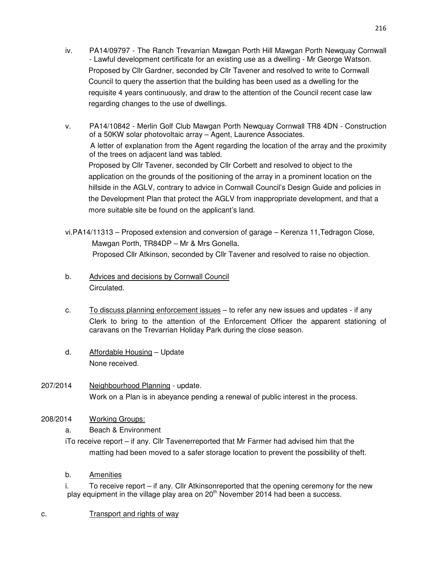- iv. PA14/09797 The Ranch Trevarrian Mawgan Porth Hill Mawgan Porth Newquay Cornwall - Lawful development certificate for an existing use as a dwelling - Mr George Watson. Proposed by Cllr Gardner, seconded by Cllr Tavener and resolved to write to Cornwall Council to query the assertion that the building has been used as a dwelling for the requisite 4 years continuously, and draw to the attention of the Council recent case law regarding changes to the use of dwellings.
- v. PA14/10842 Merlin Golf Club Mawgan Porth Newquay Cornwall TR8 4DN Construction of a 50KW solar photovoltaic array – Agent, Laurence Associates. A letter of explanation from the Agent regarding the location of the array and the proximity of the trees on adjacent land was tabled. Proposed by Cllr Tavener, seconded by Cllr Corbett and resolved to object to the application on the grounds of the positioning of the array in a prominent location on the hillside in the AGLV, contrary to advice in Cornwall Council's Design Guide and policies in the Development Plan that protect the AGLV from inappropriate development, and that a more suitable site be found on the applicant's land.
- vi.PA14/11313 Proposed extension and conversion of garage Kerenza 11,Tedragon Close, Mawgan Porth, TR84DP – Mr & Mrs Gonella. Proposed Cllr Atkinson, seconded by Cllr Tavener and resolved to raise no objection.
- b. Advices and decisions by Cornwall Council Circulated.
- c. To discuss planning enforcement issues to refer any new issues and updates if any Clerk to bring to the attention of the Enforcement Officer the apparent stationing of caravans on the Trevarrian Holiday Park during the close season.
- d. Affordable Housing Update None received.
- 207/2014 Neighbourhood Planning update. Work on a Plan is in abeyance pending a renewal of public interest in the process.
- 208/2014 Working Groups:
	- a. Beach & Environment
	- iTo receive report if any. Cllr Tavenerreported that Mr Farmer had advised him that the matting had been moved to a safer storage location to prevent the possibility of theft.
	- b. Amenities

i. To receive report – if any. Cllr Atkinsonreported that the opening ceremony for the new play equipment in the village play area on  $20<sup>th</sup>$  November 2014 had been a success.

c. Transport and rights of way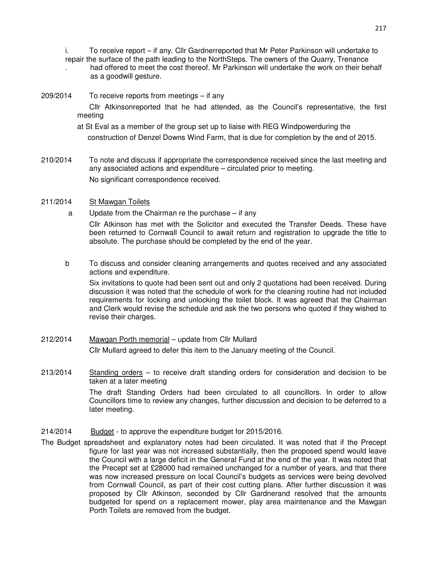i. To receive report – if any. Cllr Gardnerreported that Mr Peter Parkinson will undertake to

- repair the surface of the path leading to the NorthSteps. The owners of the Quarry, Trenance . had offered to meet the cost thereof. Mr Parkinson will undertake the work on their behalf as a goodwill gesture.
- 209/2014 To receive reports from meetings if any Cllr Atkinsonreported that he had attended, as the Council's representative, the first meeting
	- at St Eval as a member of the group set up to liaise with REG Windpowerduring the construction of Denzel Downs Wind Farm, that is due for completion by the end of 2015.
- 210/2014 To note and discuss if appropriate the correspondence received since the last meeting and any associated actions and expenditure – circulated prior to meeting. No significant correspondence received.
- 211/2014 St Mawgan Toilets
	- a Update from the Chairman re the purchase if any

Cllr Atkinson has met with the Solicitor and executed the Transfer Deeds. These have been returned to Cornwall Council to await return and registration to upgrade the title to absolute. The purchase should be completed by the end of the year.

b To discuss and consider cleaning arrangements and quotes received and any associated actions and expenditure.

 Six invitations to quote had been sent out and only 2 quotations had been received. During discussion it was noted that the schedule of work for the cleaning routine had not included requirements for locking and unlocking the toilet block. It was agreed that the Chairman and Clerk would revise the schedule and ask the two persons who quoted if they wished to revise their charges.

- 212/2014 Mawgan Porth memorial update from Cllr Mullard Cllr Mullard agreed to defer this item to the January meeting of the Council.
- 213/2014 Standing orders to receive draft standing orders for consideration and decision to be taken at a later meeting

 The draft Standing Orders had been circulated to all councillors. In order to allow Councillors time to review any changes, further discussion and decision to be deferred to a later meeting.

- 214/2014 Budget to approve the expenditure budget for 2015/2016.
- The Budget spreadsheet and explanatory notes had been circulated. It was noted that if the Precept figure for last year was not increased substantially, then the proposed spend would leave the Council with a large deficit in the General Fund at the end of the year. It was noted that the Precept set at £28000 had remained unchanged for a number of years, and that there was now increased pressure on local Council's budgets as services were being devolved from Cornwall Council, as part of their cost cutting plans. After further discussion it was proposed by Cllr Atkinson, seconded by Cllr Gardnerand resolved that the amounts budgeted for spend on a replacement mower, play area maintenance and the Mawgan Porth Toilets are removed from the budget.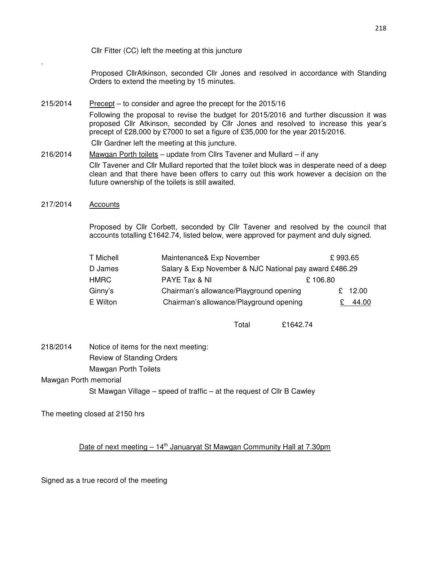Cllr Fitter (CC) left the meeting at this juncture

 Proposed CllrAtkinson, seconded Cllr Jones and resolved in accordance with Standing Orders to extend the meeting by 15 minutes.

- 215/2014 Precept to consider and agree the precept for the 2015/16 Following the proposal to revise the budget for 2015/2016 and further discussion it was proposed Cllr Atkinson, seconded by Cllr Jones and resolved to increase this year's precept of £28,000 by £7000 to set a figure of £35,000 for the year 2015/2016. Cllr Gardner left the meeting at this juncture.
- 216/2014 Mawgan Porth toilets update from Cllrs Tavener and Mullard if any Cllr Tavener and Cllr Mullard reported that the toilet block was in desperate need of a deep clean and that there have been offers to carry out this work however a decision on the future ownership of the toilets is still awaited.
- 217/2014 Accounts

.

Proposed by Cllr Corbett, seconded by Cllr Tavener and resolved by the council that accounts totalling £1642.74, listed below, were approved for payment and duly signed.

| T Michell   | Maintenance& Exp November                              |         | £993.65 |
|-------------|--------------------------------------------------------|---------|---------|
| D James     | Salary & Exp November & NJC National pay award £486.29 |         |         |
| <b>HMRC</b> | PAYE Tax & NI                                          | £106.80 |         |
| Ginny's     | Chairman's allowance/Playground opening                |         | £ 12.00 |
| E Wilton    | Chairman's allowance/Playground opening                |         | 44.00   |

Total £1642.74

218/2014 Notice of items for the next meeting: Review of Standing Orders Mawgan Porth Toilets

Mawgan Porth memorial

St Mawgan Village – speed of traffic – at the request of Cllr B Cawley

The meeting closed at 2150 hrs

Date of next meeting  $-14<sup>th</sup>$  Januaryat St Mawgan Community Hall at 7.30pm

Signed as a true record of the meeting